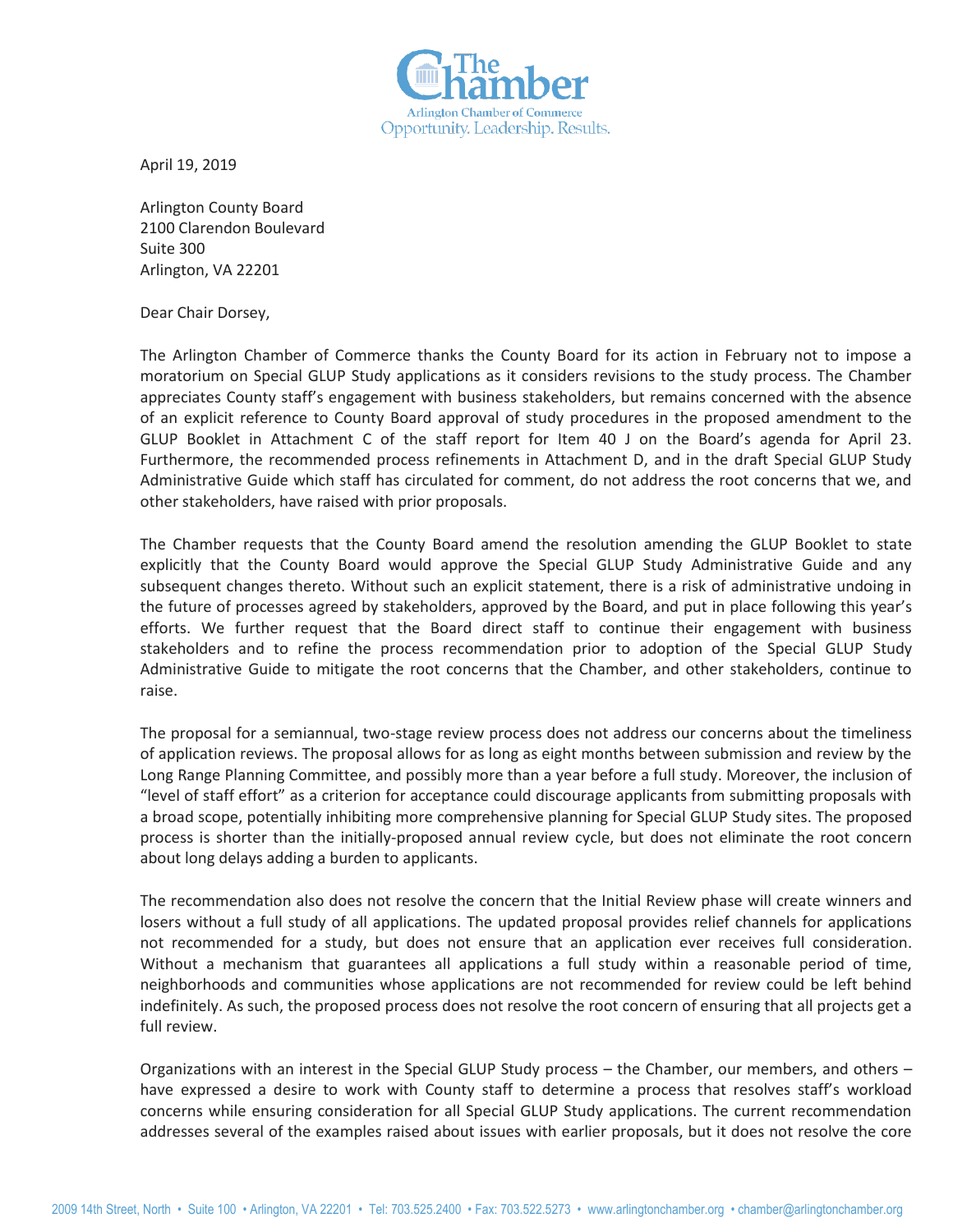

April 19, 2019

Arlington County Board 2100 Clarendon Boulevard Suite 300 Arlington, VA 22201

Dear Chair Dorsey,

The Arlington Chamber of Commerce thanks the County Board for its action in February not to impose a moratorium on Special GLUP Study applications as it considers revisions to the study process. The Chamber appreciates County staff's engagement with business stakeholders, but remains concerned with the absence of an explicit reference to County Board approval of study procedures in the proposed amendment to the GLUP Booklet in Attachment C of the staff report for Item 40 J on the Board's agenda for April 23. Furthermore, the recommended process refinements in Attachment D, and in the draft Special GLUP Study Administrative Guide which staff has circulated for comment, do not address the root concerns that we, and other stakeholders, have raised with prior proposals.

The Chamber requests that the County Board amend the resolution amending the GLUP Booklet to state explicitly that the County Board would approve the Special GLUP Study Administrative Guide and any subsequent changes thereto. Without such an explicit statement, there is a risk of administrative undoing in the future of processes agreed by stakeholders, approved by the Board, and put in place following this year's efforts. We further request that the Board direct staff to continue their engagement with business stakeholders and to refine the process recommendation prior to adoption of the Special GLUP Study Administrative Guide to mitigate the root concerns that the Chamber, and other stakeholders, continue to raise.

The proposal for a semiannual, two-stage review process does not address our concerns about the timeliness of application reviews. The proposal allows for as long as eight months between submission and review by the Long Range Planning Committee, and possibly more than a year before a full study. Moreover, the inclusion of "level of staff effort" as a criterion for acceptance could discourage applicants from submitting proposals with a broad scope, potentially inhibiting more comprehensive planning for Special GLUP Study sites. The proposed process is shorter than the initially-proposed annual review cycle, but does not eliminate the root concern about long delays adding a burden to applicants.

The recommendation also does not resolve the concern that the Initial Review phase will create winners and losers without a full study of all applications. The updated proposal provides relief channels for applications not recommended for a study, but does not ensure that an application ever receives full consideration. Without a mechanism that guarantees all applications a full study within a reasonable period of time, neighborhoods and communities whose applications are not recommended for review could be left behind indefinitely. As such, the proposed process does not resolve the root concern of ensuring that all projects get a full review.

Organizations with an interest in the Special GLUP Study process – the Chamber, our members, and others – have expressed a desire to work with County staff to determine a process that resolves staff's workload concerns while ensuring consideration for all Special GLUP Study applications. The current recommendation addresses several of the examples raised about issues with earlier proposals, but it does not resolve the core